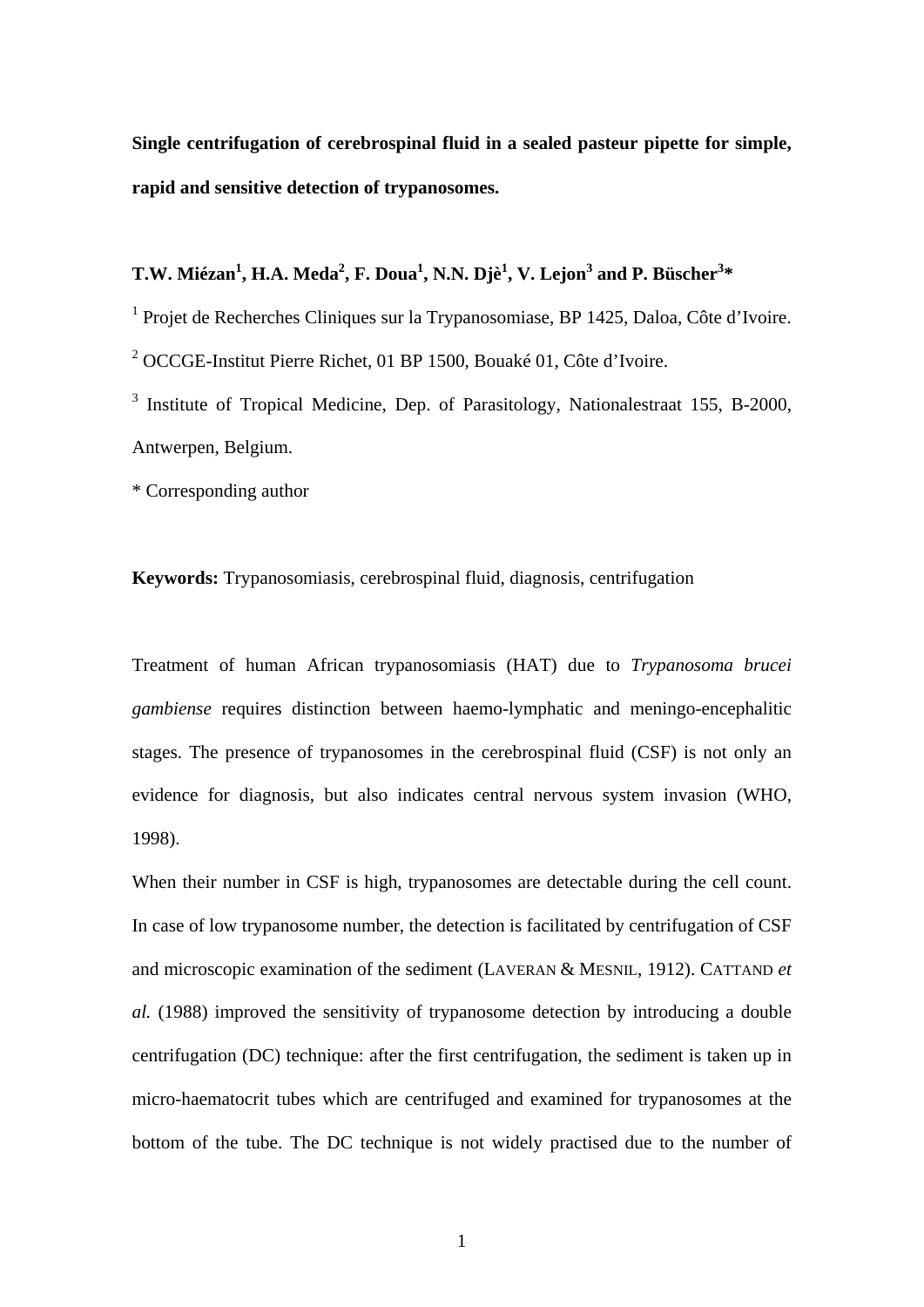**Single centrifugation of cerebrospinal fluid in a sealed pasteur pipette for simple, rapid and sensitive detection of trypanosomes.** 

## $T.W. M$ iézan<sup>1</sup>, H.A. Meda<sup>2</sup>, F. Doua<sup>1</sup>, N.N. Djè<sup>1</sup>, V. Lejon<sup>3</sup> and P. Büscher<sup>3</sup>\*

<sup>1</sup> Projet de Recherches Cliniques sur la Trypanosomiase, BP 1425, Daloa, Côte d'Ivoire. <sup>2</sup> OCCGE-Institut Pierre Richet, 01 BP 1500, Bouaké 01, Côte d'Ivoire.

<sup>3</sup> Institute of Tropical Medicine, Dep. of Parasitology, Nationalestraat 155, B-2000, Antwerpen, Belgium.

\* Corresponding author

**Keywords:** Trypanosomiasis, cerebrospinal fluid, diagnosis, centrifugation

Treatment of human African trypanosomiasis (HAT) due to *Trypanosoma brucei gambiense* requires distinction between haemo-lymphatic and meningo-encephalitic stages. The presence of trypanosomes in the cerebrospinal fluid (CSF) is not only an evidence for diagnosis, but also indicates central nervous system invasion (WHO, 1998).

When their number in CSF is high, trypanosomes are detectable during the cell count. In case of low trypanosome number, the detection is facilitated by centrifugation of CSF and microscopic examination of the sediment (LAVERAN & MESNIL, 1912). CATTAND *et al.* (1988) improved the sensitivity of trypanosome detection by introducing a double centrifugation (DC) technique: after the first centrifugation, the sediment is taken up in micro-haematocrit tubes which are centrifuged and examined for trypanosomes at the bottom of the tube. The DC technique is not widely practised due to the number of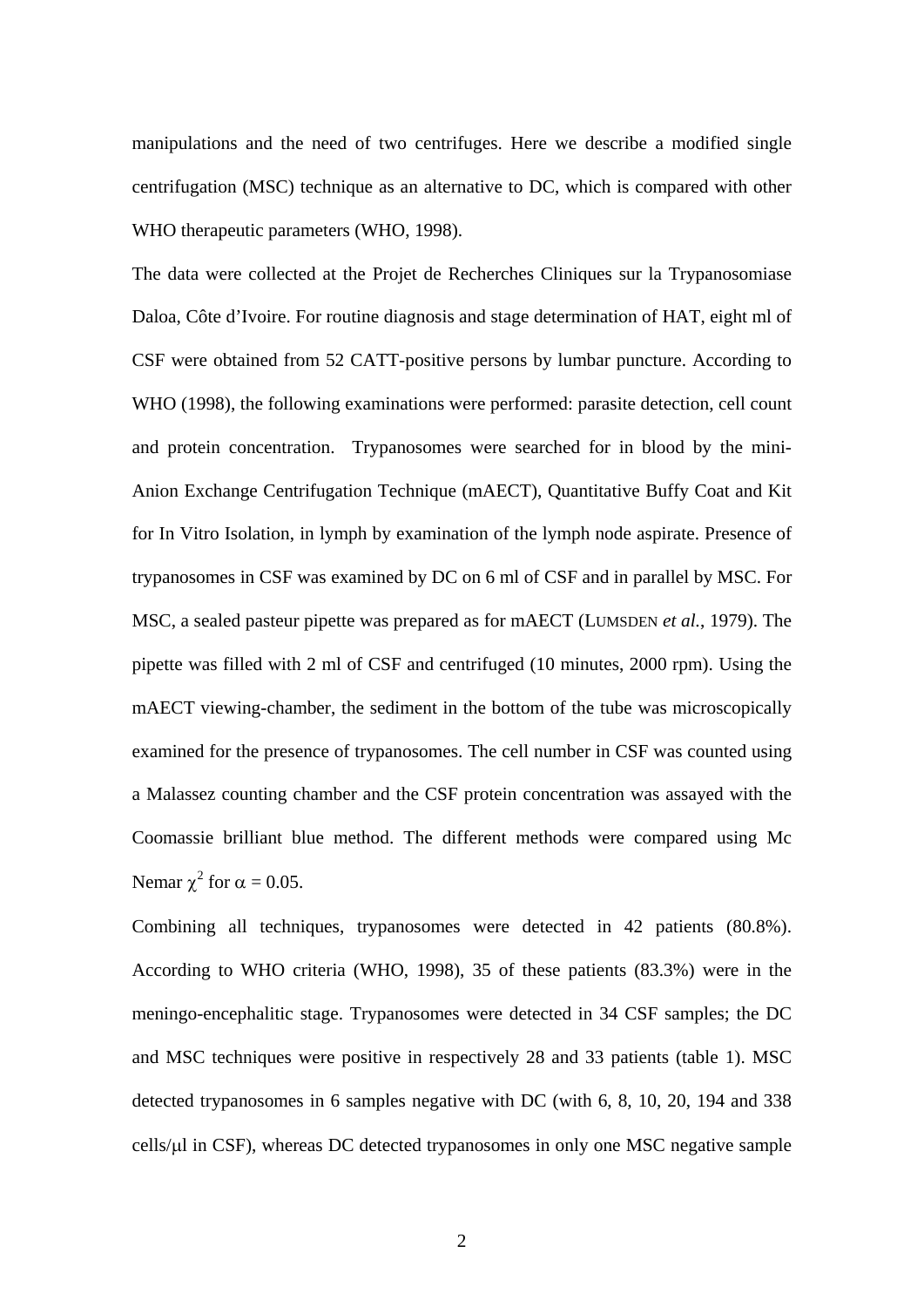manipulations and the need of two centrifuges. Here we describe a modified single centrifugation (MSC) technique as an alternative to DC, which is compared with other WHO therapeutic parameters (WHO, 1998).

The data were collected at the Projet de Recherches Cliniques sur la Trypanosomiase Daloa, Côte d'Ivoire. For routine diagnosis and stage determination of HAT, eight ml of CSF were obtained from 52 CATT-positive persons by lumbar puncture. According to WHO (1998), the following examinations were performed: parasite detection, cell count and protein concentration. Trypanosomes were searched for in blood by the mini-Anion Exchange Centrifugation Technique (mAECT), Quantitative Buffy Coat and Kit for In Vitro Isolation, in lymph by examination of the lymph node aspirate. Presence of trypanosomes in CSF was examined by DC on 6 ml of CSF and in parallel by MSC. For MSC, a sealed pasteur pipette was prepared as for mAECT (LUMSDEN *et al.*, 1979). The pipette was filled with 2 ml of CSF and centrifuged (10 minutes, 2000 rpm). Using the mAECT viewing-chamber, the sediment in the bottom of the tube was microscopically examined for the presence of trypanosomes. The cell number in CSF was counted using a Malassez counting chamber and the CSF protein concentration was assayed with the Coomassie brilliant blue method. The different methods were compared using Mc Nemar  $\chi^2$  for  $\alpha = 0.05$ .

Combining all techniques, trypanosomes were detected in 42 patients (80.8%). According to WHO criteria (WHO, 1998), 35 of these patients (83.3%) were in the meningo-encephalitic stage. Trypanosomes were detected in 34 CSF samples; the DC and MSC techniques were positive in respectively 28 and 33 patients (table 1). MSC detected trypanosomes in 6 samples negative with DC (with 6, 8, 10, 20, 194 and 338 cells/ $\mu$ l in CSF), whereas DC detected trypanosomes in only one MSC negative sample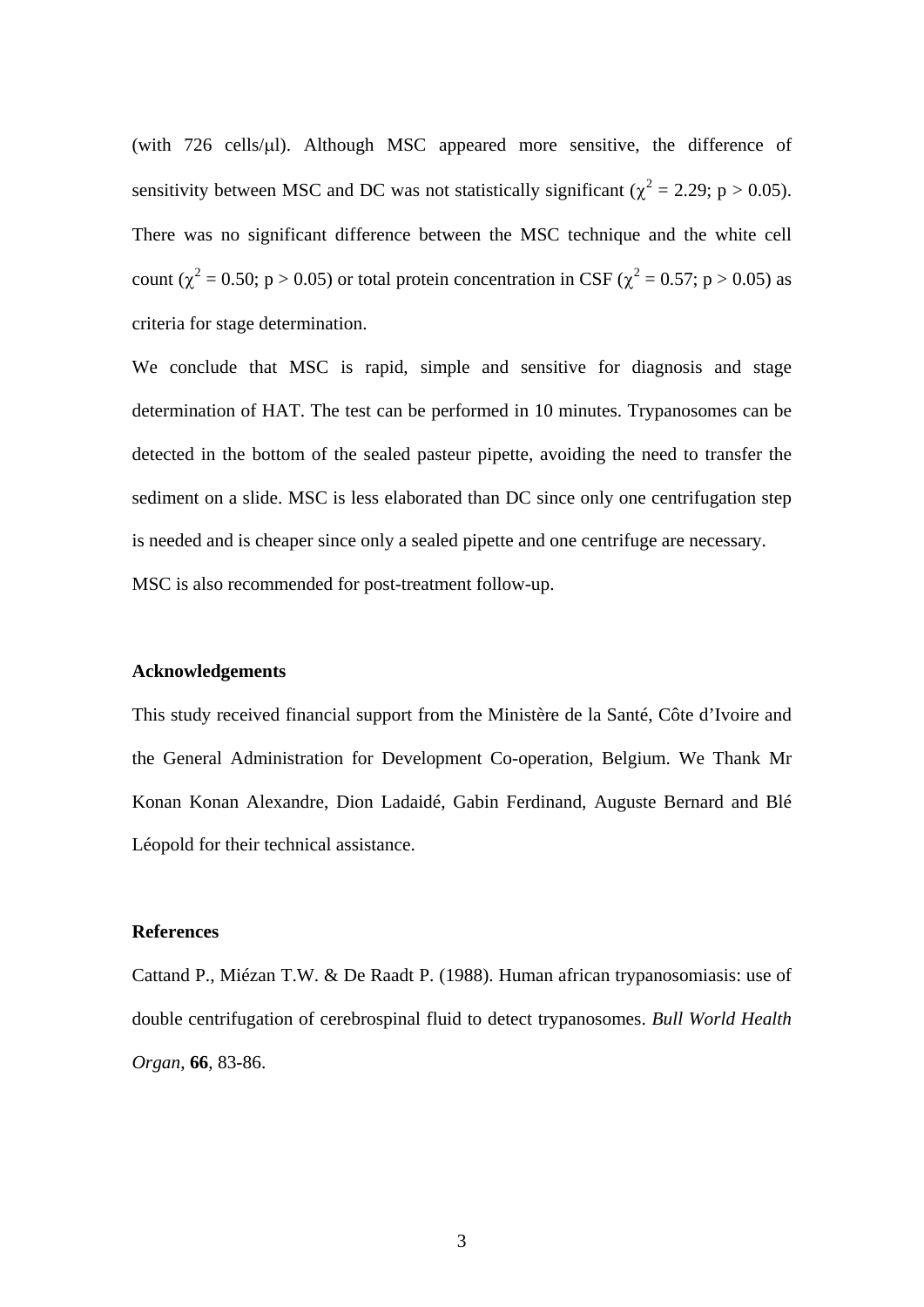(with 726 cells/µl). Although MSC appeared more sensitive, the difference of sensitivity between MSC and DC was not statistically significant ( $\chi^2 = 2.29$ ; p > 0.05). There was no significant difference between the MSC technique and the white cell count ( $\chi^2$  = 0.50; p > 0.05) or total protein concentration in CSF ( $\chi^2$  = 0.57; p > 0.05) as criteria for stage determination.

We conclude that MSC is rapid, simple and sensitive for diagnosis and stage determination of HAT. The test can be performed in 10 minutes. Trypanosomes can be detected in the bottom of the sealed pasteur pipette, avoiding the need to transfer the sediment on a slide. MSC is less elaborated than DC since only one centrifugation step is needed and is cheaper since only a sealed pipette and one centrifuge are necessary. MSC is also recommended for post-treatment follow-up.

## **Acknowledgements**

This study received financial support from the Ministère de la Santé, Côte d'Ivoire and the General Administration for Development Co-operation, Belgium. We Thank Mr Konan Konan Alexandre, Dion Ladaidé, Gabin Ferdinand, Auguste Bernard and Blé Léopold for their technical assistance.

## **References**

Cattand P., Miézan T.W. & De Raadt P. (1988). Human african trypanosomiasis: use of double centrifugation of cerebrospinal fluid to detect trypanosomes. *Bull World Health Organ*, **66**, 83-86.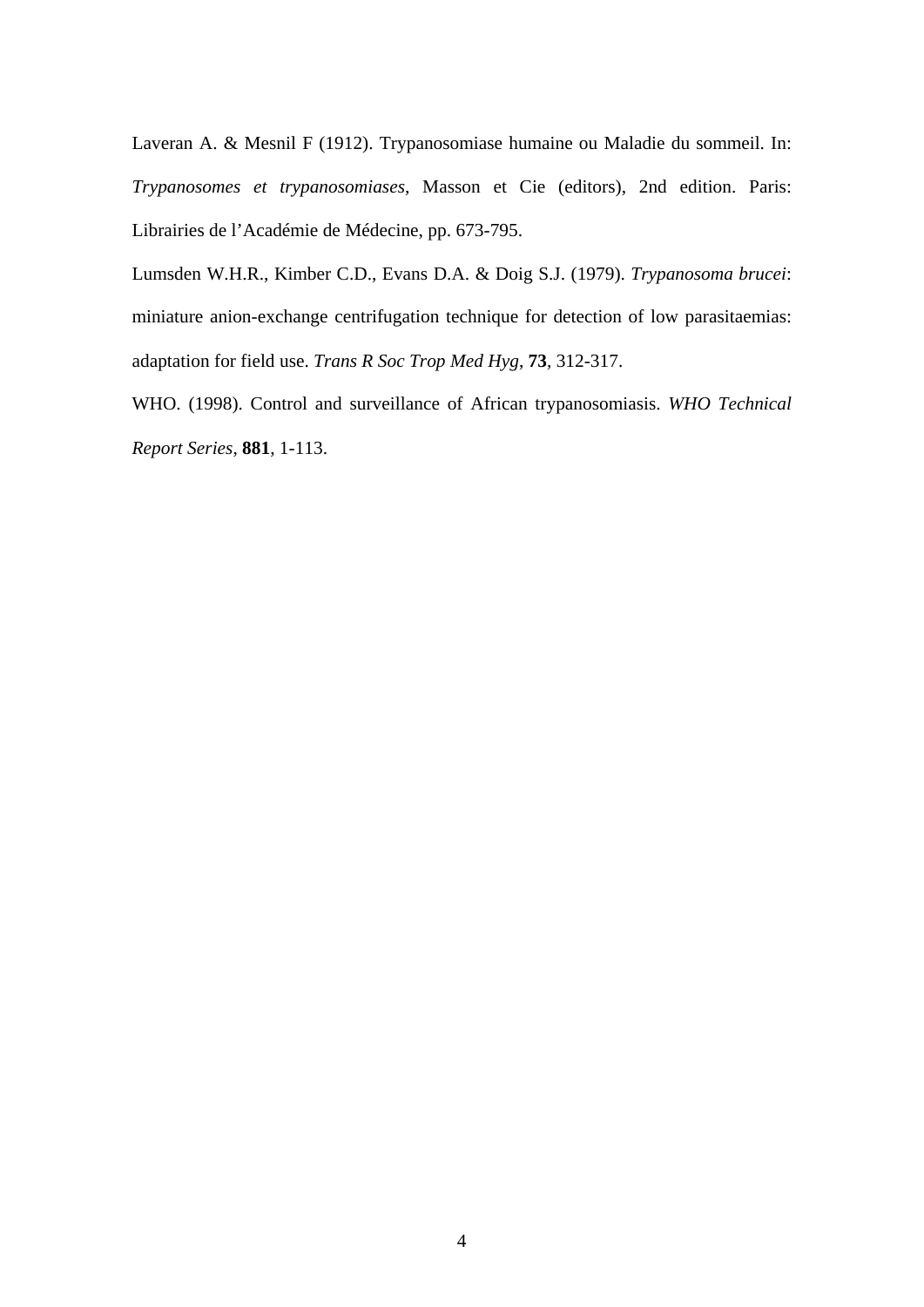Laveran A. & Mesnil F (1912). Trypanosomiase humaine ou Maladie du sommeil. In: *Trypanosomes et trypanosomiases*, Masson et Cie (editors), 2nd edition. Paris: Librairies de l'Académie de Médecine, pp. 673-795.

Lumsden W.H.R., Kimber C.D., Evans D.A. & Doig S.J. (1979). *Trypanosoma brucei*: miniature anion-exchange centrifugation technique for detection of low parasitaemias: adaptation for field use. *Trans R Soc Trop Med Hyg*, **73**, 312-317.

WHO. (1998). Control and surveillance of African trypanosomiasis. *WHO Technical Report Series*, **881**, 1-113.